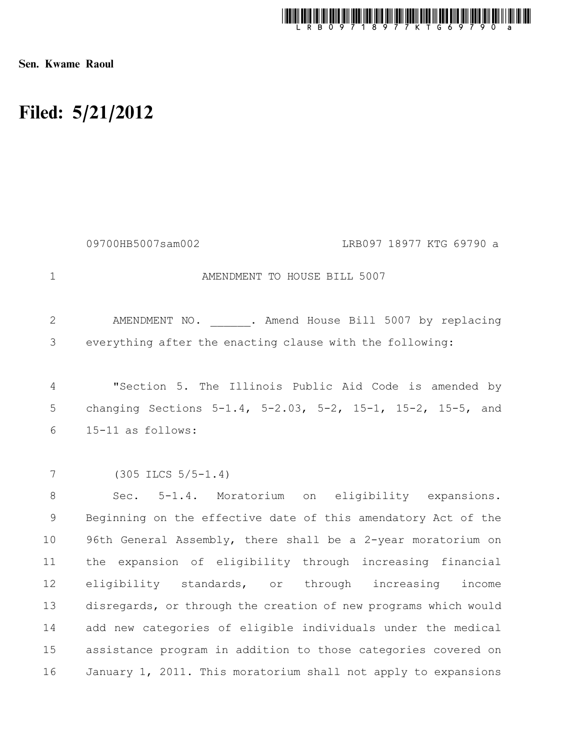

Sen. Kwame Raoul

## Filed: 5/21/2012

AMENDMENT TO HOUSE BILL 5007 AMENDMENT NO. . Amend House Bill 5007 by replacing everything after the enacting clause with the following: "Section 5. The Illinois Public Aid Code is amended by changing Sections 5-1.4, 5-2.03, 5-2, 15-1, 15-2, 15-5, and 15-11 as follows: (305 ILCS 5/5-1.4) Sec. 5-1.4. Moratorium on eligibility expansions. Beginning on the effective date of this amendatory Act of the 96th General Assembly, there shall be a 2-year moratorium on the expansion of eligibility through increasing financial eligibility standards, or through increasing income disregards, or through the creation of new programs which would add new categories of eligible individuals under the medical assistance program in addition to those categories covered on January 1, 2011. This moratorium shall not apply to expansions 1 2 3 4 5 6 7 8 9 10 11 12 13 14 15 16 09700HB5007sam002 LRB097 18977 KTG 69790 a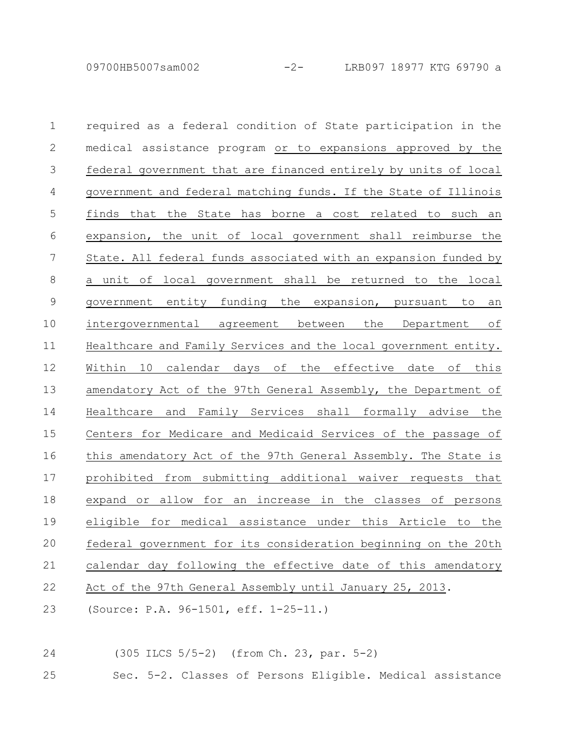09700HB5007sam002 -2- LRB097 18977 KTG 69790 a

required as a federal condition of State participation in the medical assistance program or to expansions approved by the federal government that are financed entirely by units of local government and federal matching funds. If the State of Illinois finds that the State has borne a cost related to such an expansion, the unit of local government shall reimburse the State. All federal funds associated with an expansion funded by a unit of local government shall be returned to the local government entity funding the expansion, pursuant to an intergovernmental agreement between the Department of Healthcare and Family Services and the local government entity. Within 10 calendar days of the effective date of this amendatory Act of the 97th General Assembly, the Department of Healthcare and Family Services shall formally advise the Centers for Medicare and Medicaid Services of the passage of this amendatory Act of the 97th General Assembly. The State is prohibited from submitting additional waiver requests that expand or allow for an increase in the classes of persons eligible for medical assistance under this Article to the federal government for its consideration beginning on the 20th calendar day following the effective date of this amendatory Act of the 97th General Assembly until January 25, 2013. 1 2 3 4 5 6 7 8 9 10 11 12 13 14 15 16 17 18 19 20 21 22

(Source: P.A. 96-1501, eff. 1-25-11.) 23

(305 ILCS 5/5-2) (from Ch. 23, par. 5-2) 24

Sec. 5-2. Classes of Persons Eligible. Medical assistance 25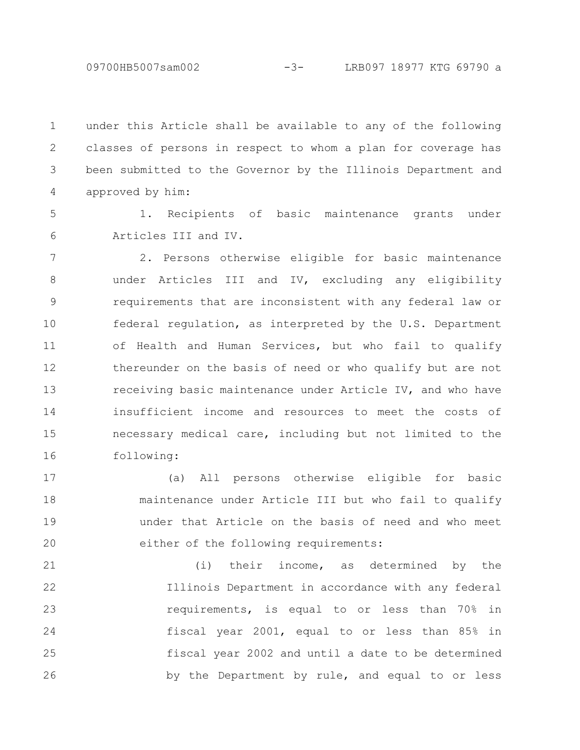09700HB5007sam002 -3- LRB097 18977 KTG 69790 a

under this Article shall be available to any of the following classes of persons in respect to whom a plan for coverage has been submitted to the Governor by the Illinois Department and approved by him: 1 2 3 4

5 6

1. Recipients of basic maintenance grants under Articles III and IV.

2. Persons otherwise eligible for basic maintenance under Articles III and IV, excluding any eligibility requirements that are inconsistent with any federal law or federal regulation, as interpreted by the U.S. Department of Health and Human Services, but who fail to qualify thereunder on the basis of need or who qualify but are not receiving basic maintenance under Article IV, and who have insufficient income and resources to meet the costs of necessary medical care, including but not limited to the following: 7 8 9 10 11 12 13 14 15 16

(a) All persons otherwise eligible for basic maintenance under Article III but who fail to qualify under that Article on the basis of need and who meet either of the following requirements: 17 18 19 20

(i) their income, as determined by the Illinois Department in accordance with any federal requirements, is equal to or less than 70% in fiscal year 2001, equal to or less than 85% in fiscal year 2002 and until a date to be determined by the Department by rule, and equal to or less 21 22 23 24 25 26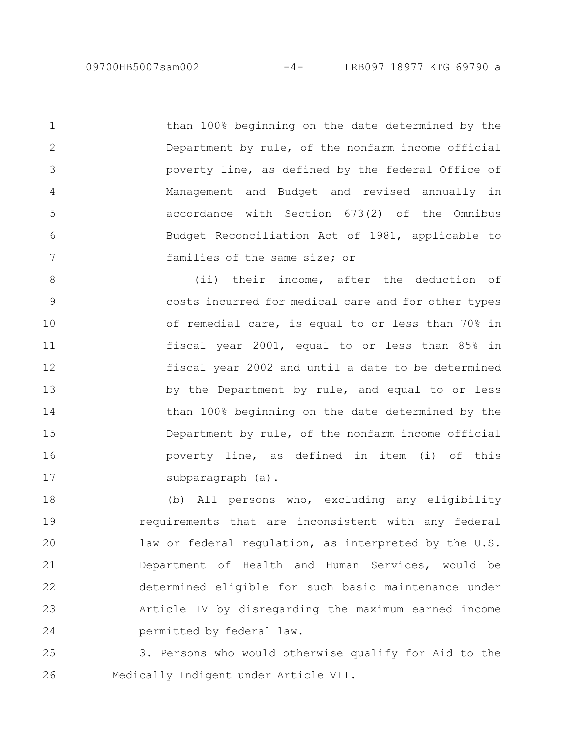than 100% beginning on the date determined by the Department by rule, of the nonfarm income official poverty line, as defined by the federal Office of Management and Budget and revised annually in accordance with Section 673(2) of the Omnibus Budget Reconciliation Act of 1981, applicable to families of the same size; or 1 2 3 4 5 6 7

(ii) their income, after the deduction of costs incurred for medical care and for other types of remedial care, is equal to or less than 70% in fiscal year 2001, equal to or less than 85% in fiscal year 2002 and until a date to be determined by the Department by rule, and equal to or less than 100% beginning on the date determined by the Department by rule, of the nonfarm income official poverty line, as defined in item (i) of this subparagraph (a). 8 9 10 11 12 13 14 15 16 17

(b) All persons who, excluding any eligibility requirements that are inconsistent with any federal law or federal regulation, as interpreted by the U.S. Department of Health and Human Services, would be determined eligible for such basic maintenance under Article IV by disregarding the maximum earned income permitted by federal law. 18 19 20 21 22 23 24

3. Persons who would otherwise qualify for Aid to the Medically Indigent under Article VII. 25 26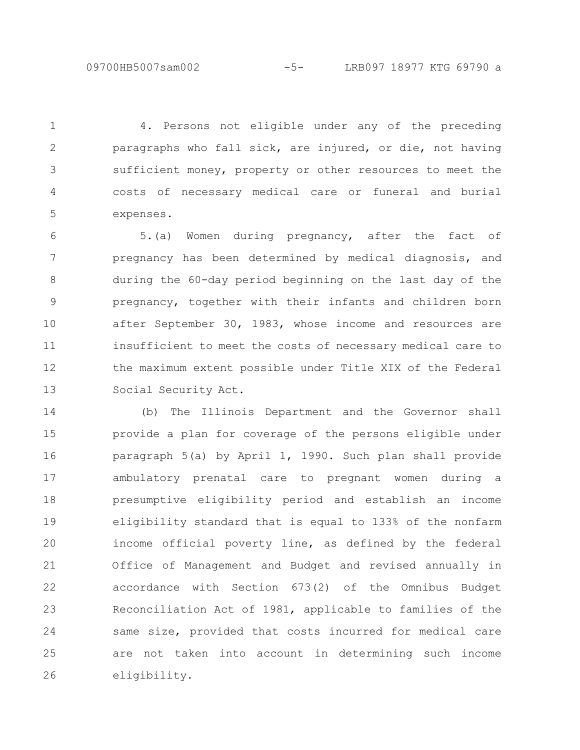09700HB5007sam002 -5- LRB097 18977 KTG 69790 a

4. Persons not eligible under any of the preceding paragraphs who fall sick, are injured, or die, not having sufficient money, property or other resources to meet the costs of necessary medical care or funeral and burial expenses. 1 2 3 4 5

5.(a) Women during pregnancy, after the fact of pregnancy has been determined by medical diagnosis, and during the 60-day period beginning on the last day of the pregnancy, together with their infants and children born after September 30, 1983, whose income and resources are insufficient to meet the costs of necessary medical care to the maximum extent possible under Title XIX of the Federal Social Security Act. 6 7 8 9 10 11 12 13

(b) The Illinois Department and the Governor shall provide a plan for coverage of the persons eligible under paragraph 5(a) by April 1, 1990. Such plan shall provide ambulatory prenatal care to pregnant women during a presumptive eligibility period and establish an income eligibility standard that is equal to 133% of the nonfarm income official poverty line, as defined by the federal Office of Management and Budget and revised annually in accordance with Section 673(2) of the Omnibus Budget Reconciliation Act of 1981, applicable to families of the same size, provided that costs incurred for medical care are not taken into account in determining such income eligibility. 14 15 16 17 18 19 20 21 22 23 24 25 26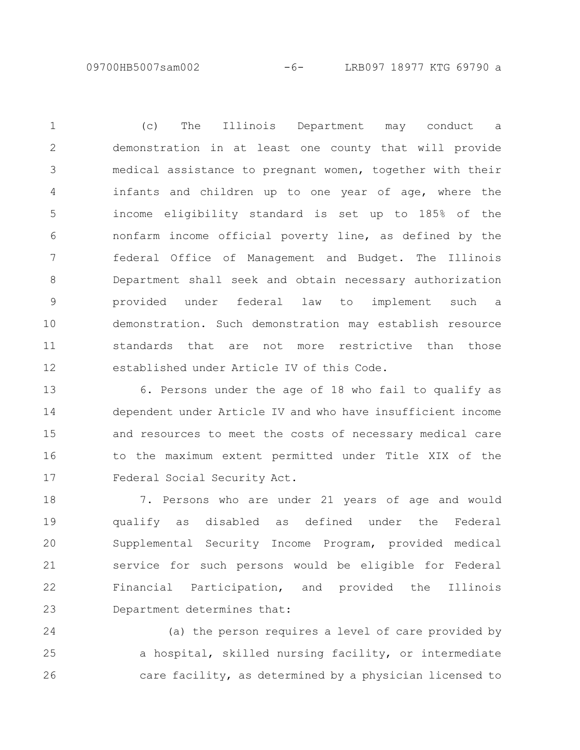09700HB5007sam002 -6- LRB097 18977 KTG 69790 a

(c) The Illinois Department may conduct a demonstration in at least one county that will provide medical assistance to pregnant women, together with their infants and children up to one year of age, where the income eligibility standard is set up to 185% of the nonfarm income official poverty line, as defined by the federal Office of Management and Budget. The Illinois Department shall seek and obtain necessary authorization provided under federal law to implement such a demonstration. Such demonstration may establish resource standards that are not more restrictive than those established under Article IV of this Code. 1 2 3 4 5 6 7 8 9 10 11 12

6. Persons under the age of 18 who fail to qualify as dependent under Article IV and who have insufficient income and resources to meet the costs of necessary medical care to the maximum extent permitted under Title XIX of the Federal Social Security Act. 13 14 15 16 17

7. Persons who are under 21 years of age and would qualify as disabled as defined under the Federal Supplemental Security Income Program, provided medical service for such persons would be eligible for Federal Financial Participation, and provided the Illinois Department determines that: 18 19 20 21 22 23

(a) the person requires a level of care provided by a hospital, skilled nursing facility, or intermediate care facility, as determined by a physician licensed to 24 25 26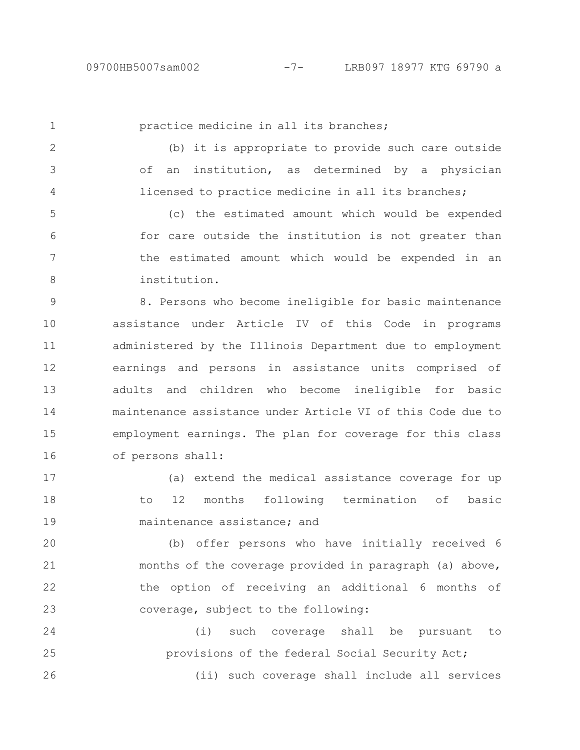1

practice medicine in all its branches;

(b) it is appropriate to provide such care outside of an institution, as determined by a physician licensed to practice medicine in all its branches; 2 3 4

(c) the estimated amount which would be expended for care outside the institution is not greater than the estimated amount which would be expended in an institution. 5 6 7 8

8. Persons who become ineligible for basic maintenance assistance under Article IV of this Code in programs administered by the Illinois Department due to employment earnings and persons in assistance units comprised of adults and children who become ineligible for basic maintenance assistance under Article VI of this Code due to employment earnings. The plan for coverage for this class of persons shall: 9 10 11 12 13 14 15 16

(a) extend the medical assistance coverage for up to 12 months following termination of basic maintenance assistance; and 17 18 19

(b) offer persons who have initially received 6 months of the coverage provided in paragraph (a) above, the option of receiving an additional 6 months of coverage, subject to the following: 20 21 22 23

(i) such coverage shall be pursuant to provisions of the federal Social Security Act; (ii) such coverage shall include all services 24 25 26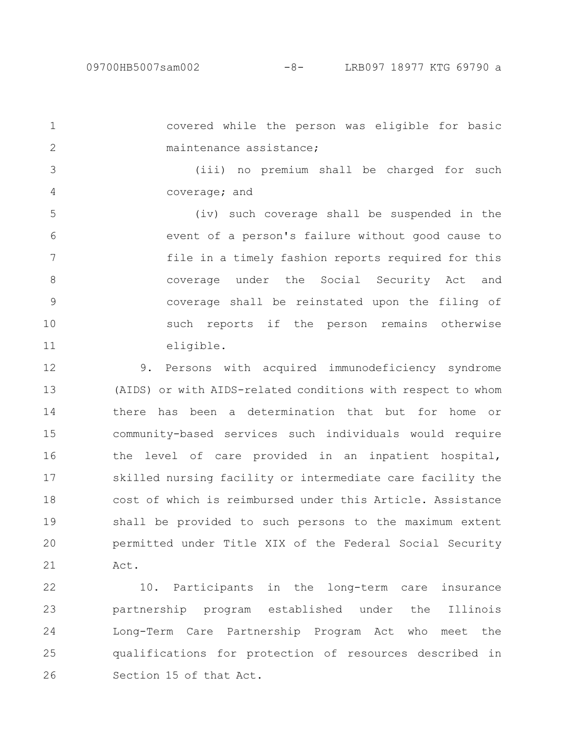covered while the person was eligible for basic maintenance assistance; (iii) no premium shall be charged for such coverage; and (iv) such coverage shall be suspended in the event of a person's failure without good cause to file in a timely fashion reports required for this coverage under the Social Security Act and coverage shall be reinstated upon the filing of such reports if the person remains otherwise eligible. 9. Persons with acquired immunodeficiency syndrome 1 2 3 4 5 6 7 8 9 10 11 12

(AIDS) or with AIDS-related conditions with respect to whom there has been a determination that but for home or community-based services such individuals would require the level of care provided in an inpatient hospital, skilled nursing facility or intermediate care facility the cost of which is reimbursed under this Article. Assistance shall be provided to such persons to the maximum extent permitted under Title XIX of the Federal Social Security Act. 13 14 15 16 17 18 19 20 21

10. Participants in the long-term care insurance partnership program established under the Illinois Long-Term Care Partnership Program Act who meet the qualifications for protection of resources described in Section 15 of that Act. 22 23 24 25 26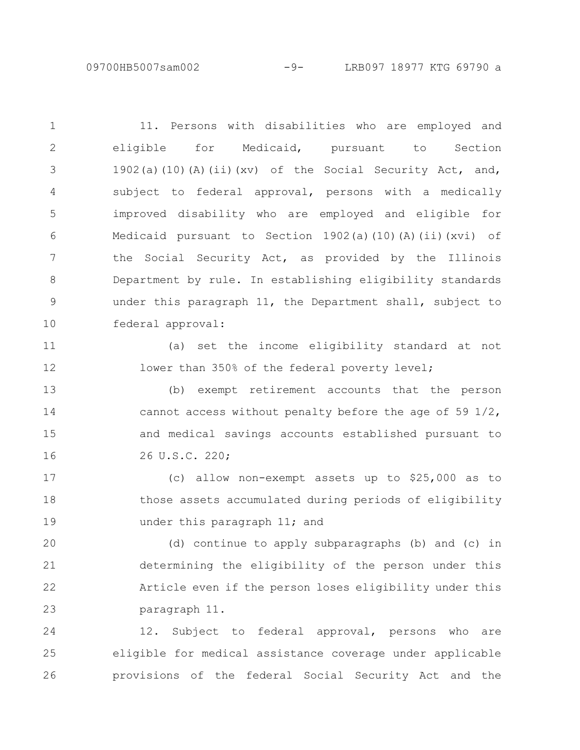09700HB5007sam002 -9- LRB097 18977 KTG 69790 a

11. Persons with disabilities who are employed and eligible for Medicaid, pursuant to Section 1902(a)(10)(A)(ii)(xv) of the Social Security Act, and, subject to federal approval, persons with a medically improved disability who are employed and eligible for Medicaid pursuant to Section  $1902(a)(10)(A)(ii)(xvi)$  of the Social Security Act, as provided by the Illinois Department by rule. In establishing eligibility standards under this paragraph 11, the Department shall, subject to federal approval: (a) set the income eligibility standard at not lower than 350% of the federal poverty level; (b) exempt retirement accounts that the person cannot access without penalty before the age of 59 1/2, and medical savings accounts established pursuant to 26 U.S.C. 220; (c) allow non-exempt assets up to \$25,000 as to those assets accumulated during periods of eligibility under this paragraph 11; and (d) continue to apply subparagraphs (b) and (c) in determining the eligibility of the person under this Article even if the person loses eligibility under this 1 2 3 4 5 6 7 8 9 10 11 12 13 14 15 16 17 18 19 20 21 22

paragraph 11. 23

12. Subject to federal approval, persons who are eligible for medical assistance coverage under applicable provisions of the federal Social Security Act and the 24 25 26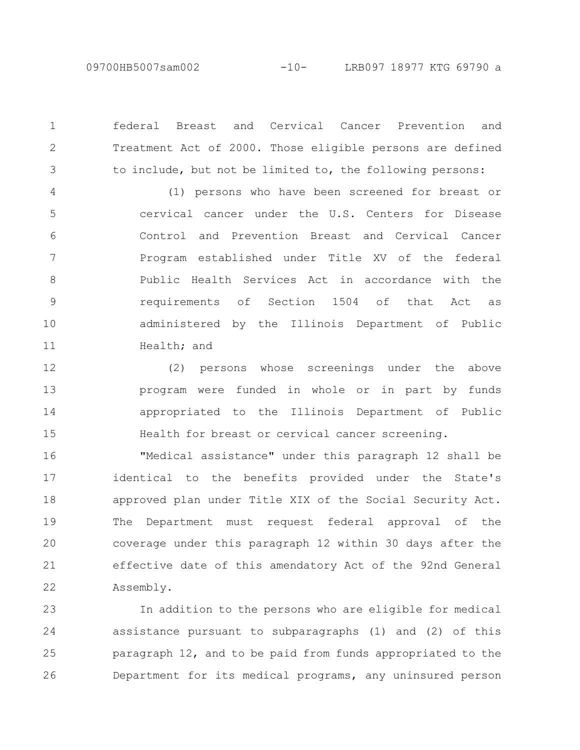09700HB5007sam002 -10- LRB097 18977 KTG 69790 a

federal Breast and Cervical Cancer Prevention and Treatment Act of 2000. Those eligible persons are defined to include, but not be limited to, the following persons:

1

2

3

(1) persons who have been screened for breast or cervical cancer under the U.S. Centers for Disease Control and Prevention Breast and Cervical Cancer Program established under Title XV of the federal Public Health Services Act in accordance with the requirements of Section 1504 of that Act as administered by the Illinois Department of Public Health; and 4 5 6 7 8 9 10 11

(2) persons whose screenings under the above program were funded in whole or in part by funds appropriated to the Illinois Department of Public Health for breast or cervical cancer screening. 12 13 14 15

"Medical assistance" under this paragraph 12 shall be identical to the benefits provided under the State's approved plan under Title XIX of the Social Security Act. The Department must request federal approval of the coverage under this paragraph 12 within 30 days after the effective date of this amendatory Act of the 92nd General Assembly. 16 17 18 19 20 21 22

In addition to the persons who are eligible for medical assistance pursuant to subparagraphs (1) and (2) of this paragraph 12, and to be paid from funds appropriated to the Department for its medical programs, any uninsured person 23 24 25 26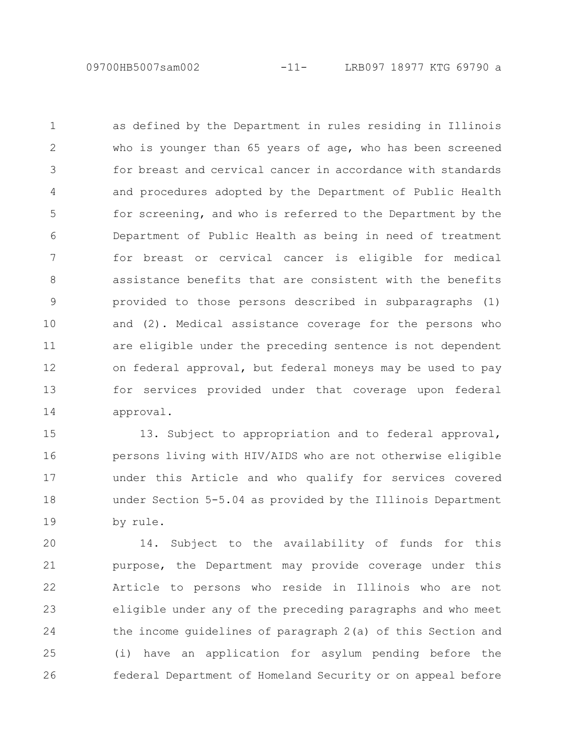09700HB5007sam002 -11- LRB097 18977 KTG 69790 a

as defined by the Department in rules residing in Illinois who is younger than 65 years of age, who has been screened for breast and cervical cancer in accordance with standards and procedures adopted by the Department of Public Health for screening, and who is referred to the Department by the Department of Public Health as being in need of treatment for breast or cervical cancer is eligible for medical assistance benefits that are consistent with the benefits provided to those persons described in subparagraphs (1) and (2). Medical assistance coverage for the persons who are eligible under the preceding sentence is not dependent on federal approval, but federal moneys may be used to pay for services provided under that coverage upon federal approval. 1 2 3 4 5 6 7 8 9 10 11 12 13 14

13. Subject to appropriation and to federal approval, persons living with HIV/AIDS who are not otherwise eligible under this Article and who qualify for services covered under Section 5-5.04 as provided by the Illinois Department by rule. 15 16 17 18 19

14. Subject to the availability of funds for this purpose, the Department may provide coverage under this Article to persons who reside in Illinois who are not eligible under any of the preceding paragraphs and who meet the income guidelines of paragraph 2(a) of this Section and (i) have an application for asylum pending before the federal Department of Homeland Security or on appeal before 20 21 22 23 24 25 26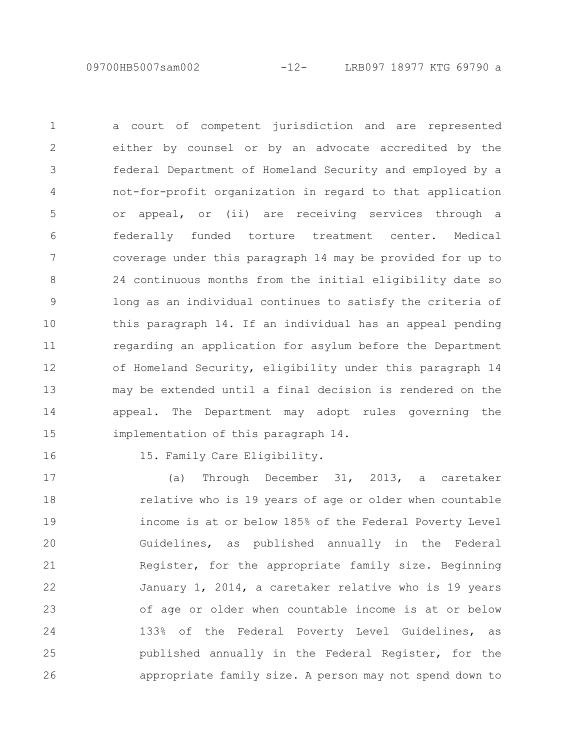09700HB5007sam002 -12- LRB097 18977 KTG 69790 a

a court of competent jurisdiction and are represented either by counsel or by an advocate accredited by the federal Department of Homeland Security and employed by a not-for-profit organization in regard to that application or appeal, or (ii) are receiving services through a federally funded torture treatment center. Medical coverage under this paragraph 14 may be provided for up to 24 continuous months from the initial eligibility date so long as an individual continues to satisfy the criteria of this paragraph 14. If an individual has an appeal pending regarding an application for asylum before the Department of Homeland Security, eligibility under this paragraph 14 may be extended until a final decision is rendered on the appeal. The Department may adopt rules governing the implementation of this paragraph 14. 1 2 3 4 5 6 7 8 9 10 11 12 13 14 15

16

15. Family Care Eligibility.

(a) Through December 31, 2013, a caretaker relative who is 19 years of age or older when countable income is at or below 185% of the Federal Poverty Level Guidelines, as published annually in the Federal Register, for the appropriate family size. Beginning January 1, 2014, a caretaker relative who is 19 years of age or older when countable income is at or below 133% of the Federal Poverty Level Guidelines, as published annually in the Federal Register, for the appropriate family size. A person may not spend down to 17 18 19 20 21 22 23 24 25 26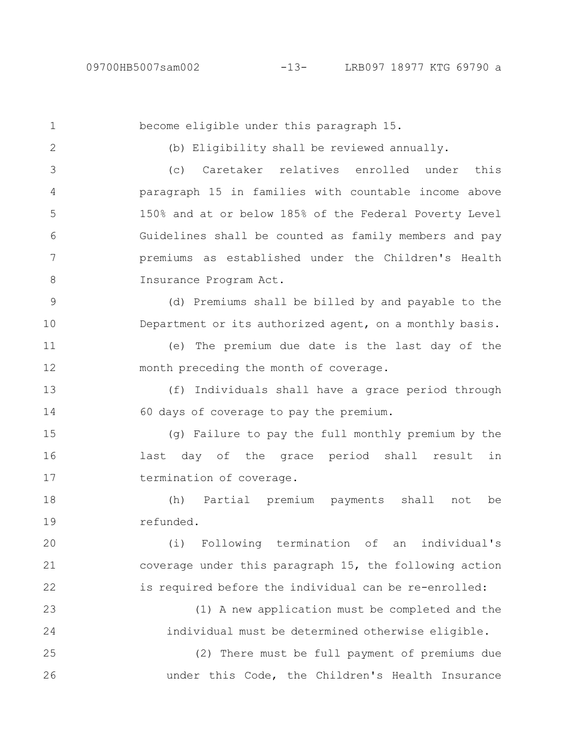become eligible under this paragraph 15. (b) Eligibility shall be reviewed annually. (c) Caretaker relatives enrolled under this paragraph 15 in families with countable income above 150% and at or below 185% of the Federal Poverty Level Guidelines shall be counted as family members and pay premiums as established under the Children's Health Insurance Program Act. (d) Premiums shall be billed by and payable to the Department or its authorized agent, on a monthly basis. (e) The premium due date is the last day of the month preceding the month of coverage. (f) Individuals shall have a grace period through 60 days of coverage to pay the premium. (g) Failure to pay the full monthly premium by the last day of the grace period shall result in termination of coverage. (h) Partial premium payments shall not be refunded. (i) Following termination of an individual's coverage under this paragraph 15, the following action is required before the individual can be re-enrolled: (1) A new application must be completed and the individual must be determined otherwise eligible. (2) There must be full payment of premiums due under this Code, the Children's Health Insurance 1 2 3 4 5 6 7 8 9 10 11 12 13 14 15 16 17 18 19 20 21 22 23 24 25 26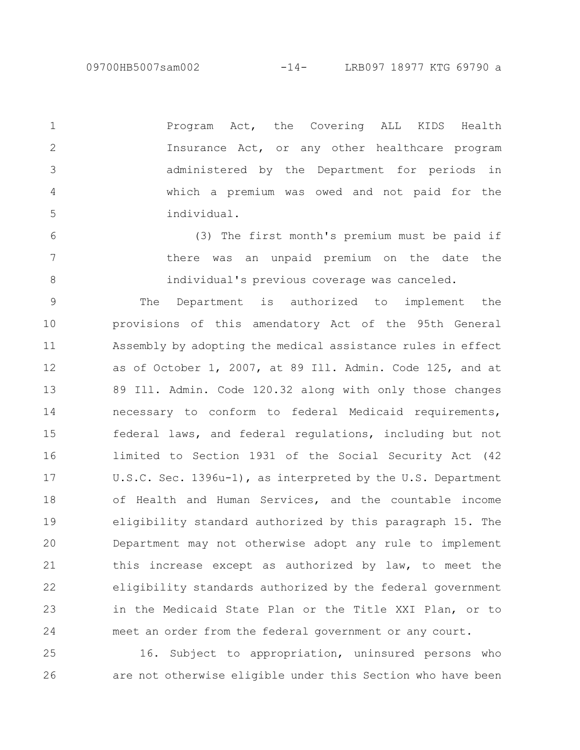Program Act, the Covering ALL KIDS Health Insurance Act, or any other healthcare program administered by the Department for periods in which a premium was owed and not paid for the individual. 1 2 3 4 5

(3) The first month's premium must be paid if there was an unpaid premium on the date the individual's previous coverage was canceled. 6 7 8

The Department is authorized to implement the provisions of this amendatory Act of the 95th General Assembly by adopting the medical assistance rules in effect as of October 1, 2007, at 89 Ill. Admin. Code 125, and at 89 Ill. Admin. Code 120.32 along with only those changes necessary to conform to federal Medicaid requirements, federal laws, and federal regulations, including but not limited to Section 1931 of the Social Security Act (42 U.S.C. Sec. 1396u-1), as interpreted by the U.S. Department of Health and Human Services, and the countable income eligibility standard authorized by this paragraph 15. The Department may not otherwise adopt any rule to implement this increase except as authorized by law, to meet the eligibility standards authorized by the federal government in the Medicaid State Plan or the Title XXI Plan, or to meet an order from the federal government or any court. 9 10 11 12 13 14 15 16 17 18 19 20 21 22 23 24

16. Subject to appropriation, uninsured persons who are not otherwise eligible under this Section who have been 25 26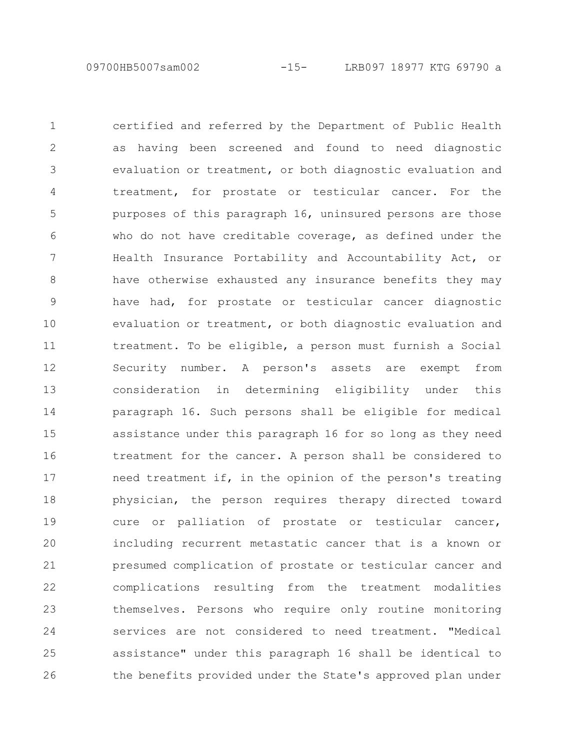09700HB5007sam002 -15- LRB097 18977 KTG 69790 a

certified and referred by the Department of Public Health as having been screened and found to need diagnostic evaluation or treatment, or both diagnostic evaluation and treatment, for prostate or testicular cancer. For the purposes of this paragraph 16, uninsured persons are those who do not have creditable coverage, as defined under the Health Insurance Portability and Accountability Act, or have otherwise exhausted any insurance benefits they may have had, for prostate or testicular cancer diagnostic evaluation or treatment, or both diagnostic evaluation and treatment. To be eligible, a person must furnish a Social Security number. A person's assets are exempt from consideration in determining eligibility under this paragraph 16. Such persons shall be eligible for medical assistance under this paragraph 16 for so long as they need treatment for the cancer. A person shall be considered to need treatment if, in the opinion of the person's treating physician, the person requires therapy directed toward cure or palliation of prostate or testicular cancer, including recurrent metastatic cancer that is a known or presumed complication of prostate or testicular cancer and complications resulting from the treatment modalities themselves. Persons who require only routine monitoring services are not considered to need treatment. "Medical assistance" under this paragraph 16 shall be identical to the benefits provided under the State's approved plan under 1 2 3 4 5 6 7 8 9 10 11 12 13 14 15 16 17 18 19 20 21 22 23 24 25 26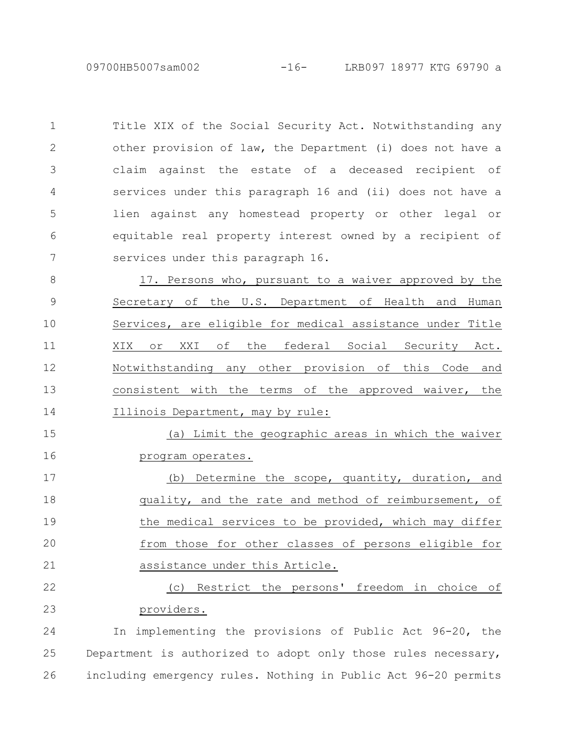Title XIX of the Social Security Act. Notwithstanding any other provision of law, the Department (i) does not have a claim against the estate of a deceased recipient of services under this paragraph 16 and (ii) does not have a lien against any homestead property or other legal or equitable real property interest owned by a recipient of services under this paragraph 16. 1 2 3 4 5 6 7

17. Persons who, pursuant to a waiver approved by the Secretary of the U.S. Department of Health and Human Services, are eligible for medical assistance under Title XIX or XXI of the federal Social Security Act. Notwithstanding any other provision of this Code and consistent with the terms of the approved waiver, the Illinois Department, may by rule: 8 9 10 11 12 13 14

(a) Limit the geographic areas in which the waiver program operates. 15 16

(b) Determine the scope, quantity, duration, and quality, and the rate and method of reimbursement, of the medical services to be provided, which may differ from those for other classes of persons eligible for assistance under this Article. 17 18 19 20 21

(c) Restrict the persons' freedom in choice of providers. 22 23

In implementing the provisions of Public Act 96-20, the Department is authorized to adopt only those rules necessary, including emergency rules. Nothing in Public Act 96-20 permits 24 25 26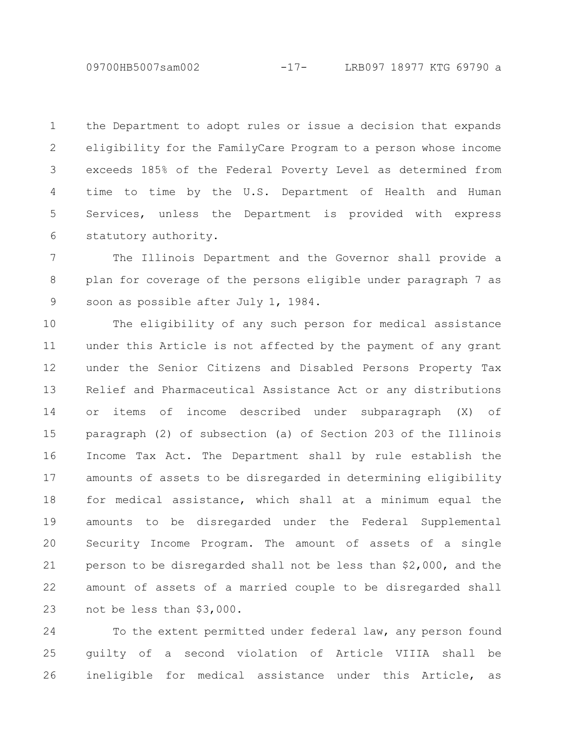09700HB5007sam002 -17- LRB097 18977 KTG 69790 a

the Department to adopt rules or issue a decision that expands eligibility for the FamilyCare Program to a person whose income exceeds 185% of the Federal Poverty Level as determined from time to time by the U.S. Department of Health and Human Services, unless the Department is provided with express statutory authority. 1 2 3 4 5 6

The Illinois Department and the Governor shall provide a plan for coverage of the persons eligible under paragraph 7 as soon as possible after July 1, 1984. 7 8 9

The eligibility of any such person for medical assistance under this Article is not affected by the payment of any grant under the Senior Citizens and Disabled Persons Property Tax Relief and Pharmaceutical Assistance Act or any distributions or items of income described under subparagraph (X) of paragraph (2) of subsection (a) of Section 203 of the Illinois Income Tax Act. The Department shall by rule establish the amounts of assets to be disregarded in determining eligibility for medical assistance, which shall at a minimum equal the amounts to be disregarded under the Federal Supplemental Security Income Program. The amount of assets of a single person to be disregarded shall not be less than \$2,000, and the amount of assets of a married couple to be disregarded shall not be less than \$3,000. 10 11 12 13 14 15 16 17 18 19 20 21 22 23

To the extent permitted under federal law, any person found guilty of a second violation of Article VIIIA shall be ineligible for medical assistance under this Article, as 24 25 26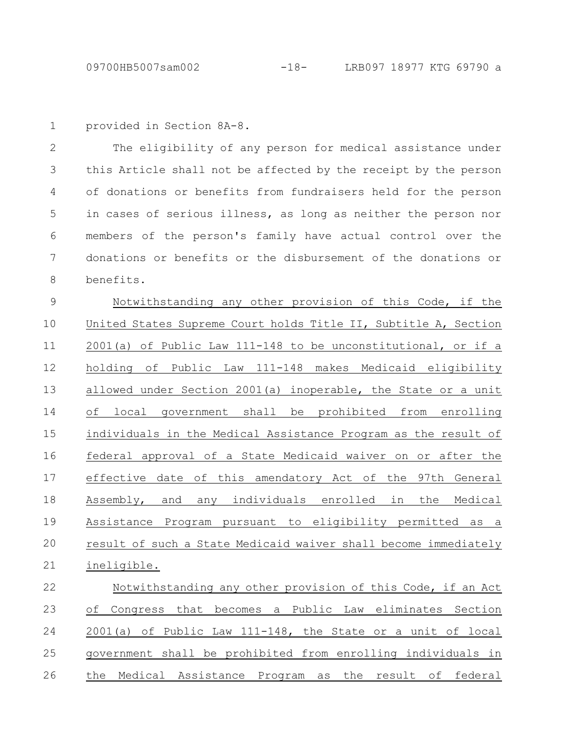```
provided in Section 8A-8.
1
```
The eligibility of any person for medical assistance under this Article shall not be affected by the receipt by the person of donations or benefits from fundraisers held for the person in cases of serious illness, as long as neither the person nor members of the person's family have actual control over the donations or benefits or the disbursement of the donations or benefits. 2 3 4 5 6 7 8

Notwithstanding any other provision of this Code, if the United States Supreme Court holds Title II, Subtitle A, Section 2001(a) of Public Law 111-148 to be unconstitutional, or if a holding of Public Law 111-148 makes Medicaid eligibility allowed under Section 2001(a) inoperable, the State or a unit of local government shall be prohibited from enrolling individuals in the Medical Assistance Program as the result of federal approval of a State Medicaid waiver on or after the effective date of this amendatory Act of the 97th General Assembly, and any individuals enrolled in the Medical Assistance Program pursuant to eligibility permitted as a result of such a State Medicaid waiver shall become immediately ineligible. 9 10 11 12 13 14 15 16 17 18 19 20 21

Notwithstanding any other provision of this Code, if an Act of Congress that becomes a Public Law eliminates Section 2001(a) of Public Law 111-148, the State or a unit of local government shall be prohibited from enrolling individuals in the Medical Assistance Program as the result of federal 22 23 24 25 26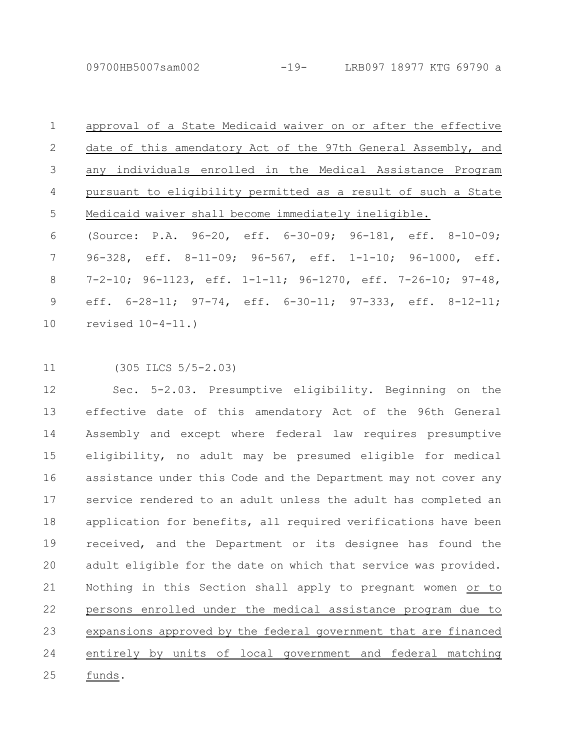09700HB5007sam002 -19- LRB097 18977 KTG 69790 a

approval of a State Medicaid waiver on or after the effective date of this amendatory Act of the 97th General Assembly, and any individuals enrolled in the Medical Assistance Program pursuant to eligibility permitted as a result of such a State Medicaid waiver shall become immediately ineligible. (Source: P.A. 96-20, eff. 6-30-09; 96-181, eff. 8-10-09; 96-328, eff. 8-11-09; 96-567, eff. 1-1-10; 96-1000, eff. 7-2-10; 96-1123, eff. 1-1-11; 96-1270, eff. 7-26-10; 97-48, eff. 6-28-11; 97-74, eff. 6-30-11; 97-333, eff. 8-12-11; revised 10-4-11.) 1 2 3 4 5 6 7 8 9 10

(305 ILCS 5/5-2.03) 11

Sec. 5-2.03. Presumptive eligibility. Beginning on the effective date of this amendatory Act of the 96th General Assembly and except where federal law requires presumptive eligibility, no adult may be presumed eligible for medical assistance under this Code and the Department may not cover any service rendered to an adult unless the adult has completed an application for benefits, all required verifications have been received, and the Department or its designee has found the adult eligible for the date on which that service was provided. Nothing in this Section shall apply to pregnant women or to persons enrolled under the medical assistance program due to expansions approved by the federal government that are financed entirely by units of local government and federal matching funds. 12 13 14 15 16 17 18 19 20 21 22 23 24 25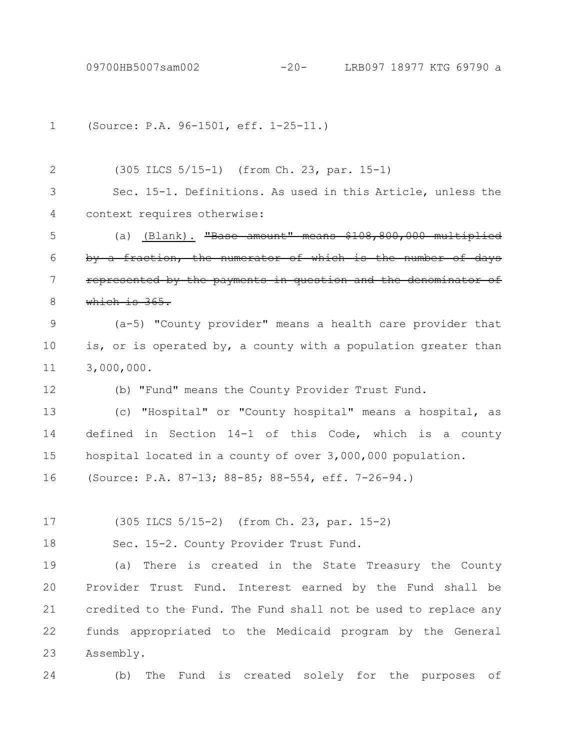(Source: P.A. 96-1501, eff. 1-25-11.) 1

(305 ILCS 5/15-1) (from Ch. 23, par. 15-1) 2

Sec. 15-1. Definitions. As used in this Article, unless the context requires otherwise: 3 4

(a) (Blank). "Base amount" means by a fraction, the numerator of which is the numbe represented by the payments in question which is 365. 5 6 7 8

(a-5) "County provider" means a health care provider that is, or is operated by, a county with a population greater than 3,000,000. 9 10 11

(b) "Fund" means the County Provider Trust Fund.

(c) "Hospital" or "County hospital" means a hospital, as defined in Section 14-1 of this Code, which is a county hospital located in a county of over 3,000,000 population. (Source: P.A. 87-13; 88-85; 88-554, eff. 7-26-94.) 13 14 15 16

(305 ILCS 5/15-2) (from Ch. 23, par. 15-2) 17

Sec. 15-2. County Provider Trust Fund. 18

(a) There is created in the State Treasury the County Provider Trust Fund. Interest earned by the Fund shall be credited to the Fund. The Fund shall not be used to replace any funds appropriated to the Medicaid program by the General Assembly. 19 20 21 22 23

24

12

(b) The Fund is created solely for the purposes of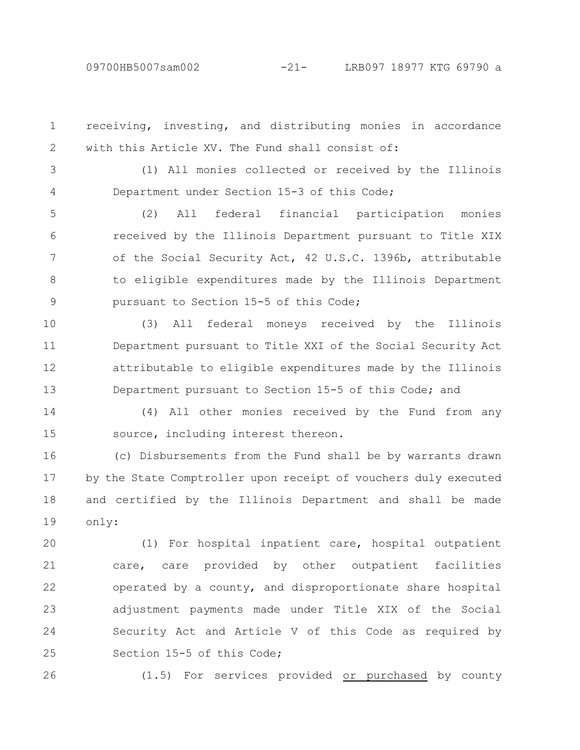receiving, investing, and distributing monies in accordance with this Article XV. The Fund shall consist of: 1 2

3

4

(1) All monies collected or received by the Illinois Department under Section 15-3 of this Code;

(2) All federal financial participation monies received by the Illinois Department pursuant to Title XIX of the Social Security Act, 42 U.S.C. 1396b, attributable to eligible expenditures made by the Illinois Department pursuant to Section 15-5 of this Code; 5 6 7 8 9

(3) All federal moneys received by the Illinois Department pursuant to Title XXI of the Social Security Act attributable to eligible expenditures made by the Illinois Department pursuant to Section 15-5 of this Code; and 10 11 12 13

(4) All other monies received by the Fund from any source, including interest thereon. 14 15

(c) Disbursements from the Fund shall be by warrants drawn by the State Comptroller upon receipt of vouchers duly executed and certified by the Illinois Department and shall be made only: 16 17 18 19

(1) For hospital inpatient care, hospital outpatient care, care provided by other outpatient facilities operated by a county, and disproportionate share hospital adjustment payments made under Title XIX of the Social Security Act and Article V of this Code as required by Section 15-5 of this Code; 20 21 22 23 24 25

26

(1.5) For services provided or purchased by county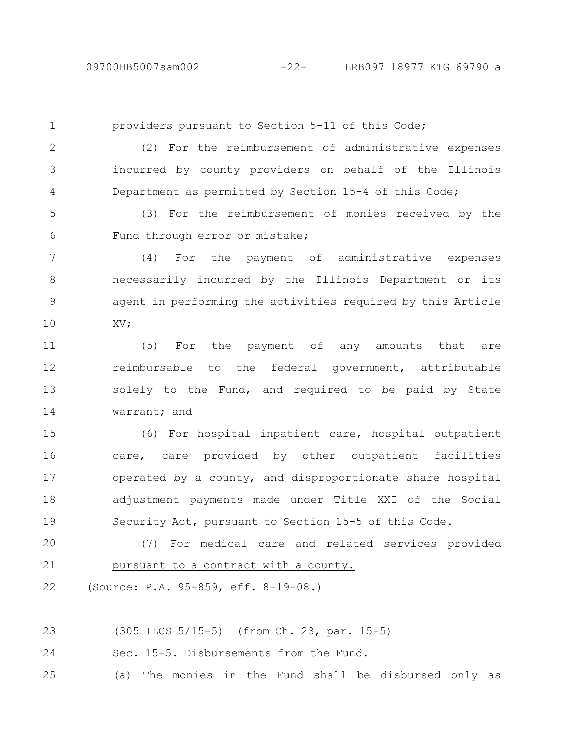providers pursuant to Section 5-11 of this Code; (2) For the reimbursement of administrative expenses incurred by county providers on behalf of the Illinois Department as permitted by Section 15-4 of this Code; (3) For the reimbursement of monies received by the Fund through error or mistake; (4) For the payment of administrative expenses necessarily incurred by the Illinois Department or its agent in performing the activities required by this Article XV; (5) For the payment of any amounts that are reimbursable to the federal government, attributable solely to the Fund, and required to be paid by State warrant; and (6) For hospital inpatient care, hospital outpatient care, care provided by other outpatient facilities operated by a county, and disproportionate share hospital 1 2 3 4 5 6 7 8 9 10 11 12 13 14 15 16 17

adjustment payments made under Title XXI of the Social Security Act, pursuant to Section 15-5 of this Code. 18 19

(7) For medical care and related services provided pursuant to a contract with a county. 20 21

(Source: P.A. 95-859, eff. 8-19-08.) 22

(305 ILCS 5/15-5) (from Ch. 23, par. 15-5) 23

Sec. 15-5. Disbursements from the Fund. 24

(a) The monies in the Fund shall be disbursed only as 25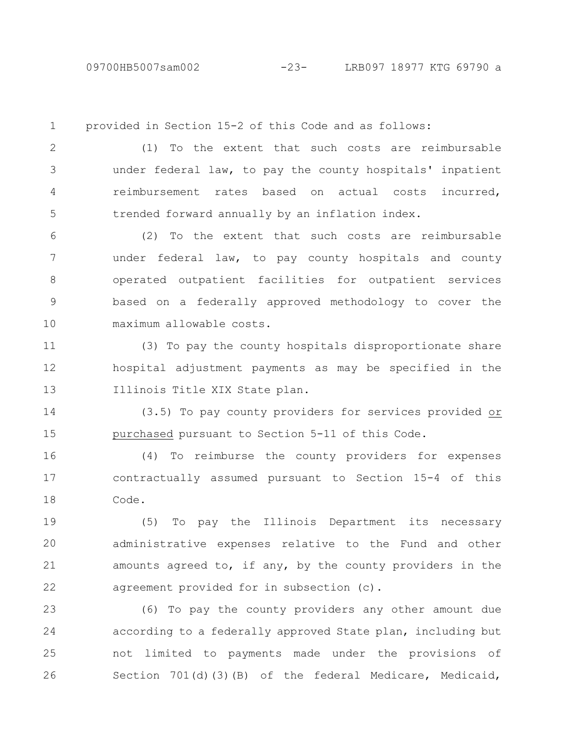09700HB5007sam002 -23- LRB097 18977 KTG 69790 a

provided in Section 15-2 of this Code and as follows: (1) To the extent that such costs are reimbursable under federal law, to pay the county hospitals' inpatient reimbursement rates based on actual costs incurred, trended forward annually by an inflation index. (2) To the extent that such costs are reimbursable under federal law, to pay county hospitals and county operated outpatient facilities for outpatient services based on a federally approved methodology to cover the maximum allowable costs. (3) To pay the county hospitals disproportionate share hospital adjustment payments as may be specified in the Illinois Title XIX State plan. (3.5) To pay county providers for services provided or purchased pursuant to Section 5-11 of this Code. 1 2 3 4 5 6 7 8 9 10 11 12 13 14 15

(4) To reimburse the county providers for expenses contractually assumed pursuant to Section 15-4 of this Code. 16 17 18

(5) To pay the Illinois Department its necessary administrative expenses relative to the Fund and other amounts agreed to, if any, by the county providers in the agreement provided for in subsection (c). 19 20 21 22

(6) To pay the county providers any other amount due according to a federally approved State plan, including but not limited to payments made under the provisions of Section 701(d)(3)(B) of the federal Medicare, Medicaid, 23 24 25 26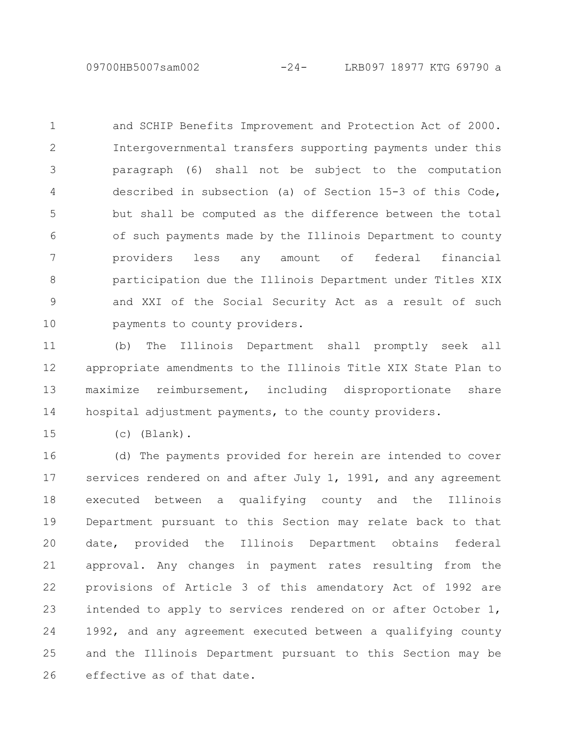and SCHIP Benefits Improvement and Protection Act of 2000. Intergovernmental transfers supporting payments under this paragraph (6) shall not be subject to the computation described in subsection (a) of Section 15-3 of this Code, but shall be computed as the difference between the total of such payments made by the Illinois Department to county providers less any amount of federal financial participation due the Illinois Department under Titles XIX and XXI of the Social Security Act as a result of such payments to county providers. 1 2 3 4 5 6 7 8 9 10

(b) The Illinois Department shall promptly seek all appropriate amendments to the Illinois Title XIX State Plan to maximize reimbursement, including disproportionate share hospital adjustment payments, to the county providers. 11 12 13 14

(c) (Blank). 15

(d) The payments provided for herein are intended to cover services rendered on and after July 1, 1991, and any agreement executed between a qualifying county and the Illinois Department pursuant to this Section may relate back to that date, provided the Illinois Department obtains federal approval. Any changes in payment rates resulting from the provisions of Article 3 of this amendatory Act of 1992 are intended to apply to services rendered on or after October 1, 1992, and any agreement executed between a qualifying county and the Illinois Department pursuant to this Section may be effective as of that date. 16 17 18 19 20 21 22 23 24 25 26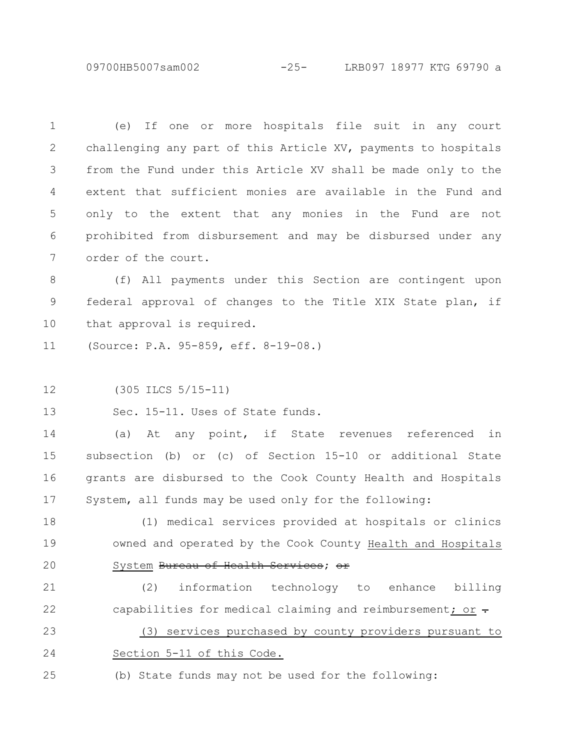09700HB5007sam002 -25- LRB097 18977 KTG 69790 a

(e) If one or more hospitals file suit in any court challenging any part of this Article XV, payments to hospitals from the Fund under this Article XV shall be made only to the extent that sufficient monies are available in the Fund and only to the extent that any monies in the Fund are not prohibited from disbursement and may be disbursed under any order of the court. 1 2 3 4 5 6 7

(f) All payments under this Section are contingent upon federal approval of changes to the Title XIX State plan, if that approval is required. 8 9 10

(Source: P.A. 95-859, eff. 8-19-08.) 11

(305 ILCS 5/15-11) 12

Sec. 15-11. Uses of State funds. 13

(a) At any point, if State revenues referenced in subsection (b) or (c) of Section 15-10 or additional State grants are disbursed to the Cook County Health and Hospitals System, all funds may be used only for the following: 14 15 16 17

(1) medical services provided at hospitals or clinics owned and operated by the Cook County Health and Hospitals System Bureau of Health Services; or 18 19 20

(2) information technology to enhance billing capabilities for medical claiming and reimbursement; or  $\div$ 21 22

(3) services purchased by county providers pursuant to Section 5-11 of this Code. 23 24

(b) State funds may not be used for the following: 25